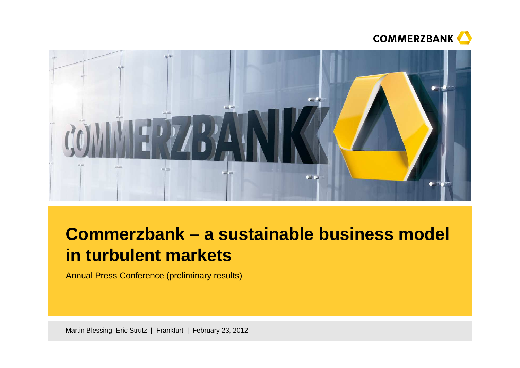



# **Commerzbank – a sustainable business model in turbulent markets**

Annual Press Conference (preliminary results)

Martin Blessing, Eric Strutz | Frankfurt | February 23, 2012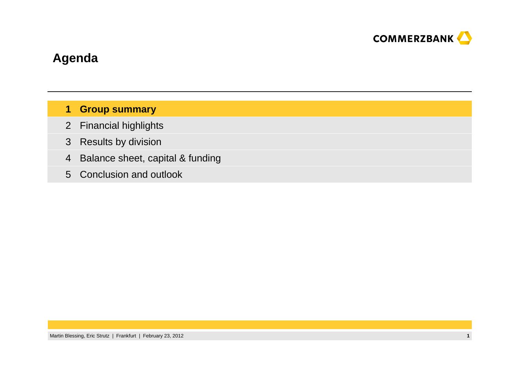

## **Agenda**

#### **Group summary1**

- 2 Financial highlights
- 3 Results by division
- 4Balance sheet, capital & funding
- Conclusion and outlook5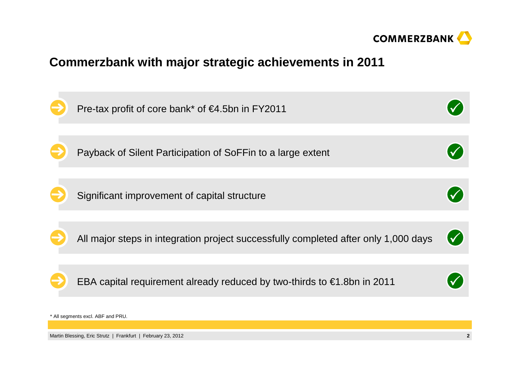

### **Commerzbank with major strategic achievements in 2011**

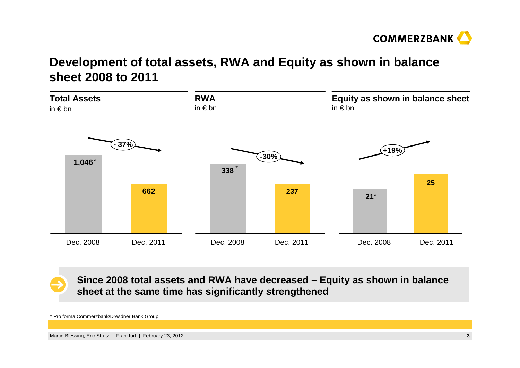

## **Development of total assets, RWA and Equity as shown in balance sheet 2008 to 2011**



**Since 2008 total assets and RWA have decreased – Equity as shown in balance sheet at the same time has significantly strengthened**

\* Pro forma Commerzbank/Dresdner Bank Group.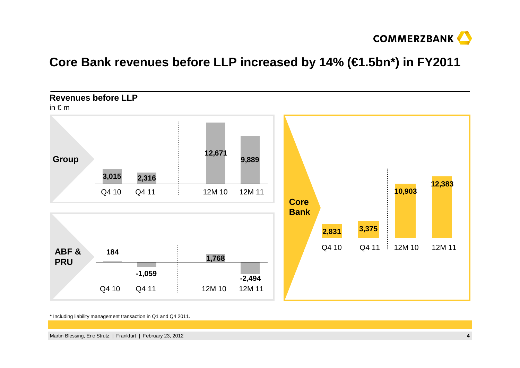

#### **Core Bank revenues before LLP increased by 14% (€1.5bn\*) in FY2011**



\* Including liability management transaction in Q1 and Q4 2011.

Martin Blessing, Eric Strutz | Frankfurt | February 23, 2012 **<sup>4</sup>**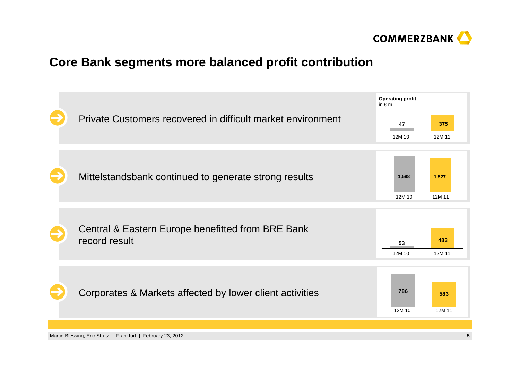

#### **Core Bank segments more balanced profit contribution**

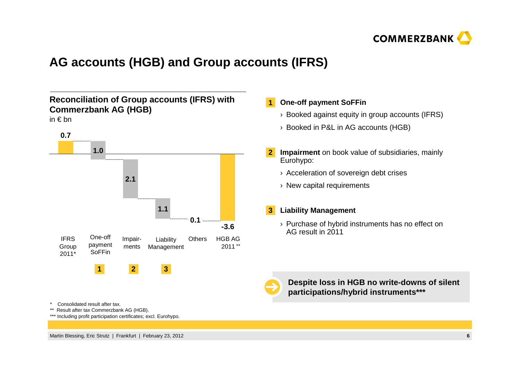

## **AG accounts (HGB) and Group accounts (IFRS)**

#### **Reconciliation of Group accounts (IFRS) with Commerzbank AG (HGB)**

in € bn



#### \* Consolidated result after tax.

- \*\* Result after tax Commerzbank AG (HGB).
- \*\*\* Including profit participation certificates; excl. Eurohypo.

#### **One-off payment SoFFin1**

- $\rightarrow$  Booked against equity in group accounts (IFRS)
- › Booked in P&L in AG accounts (HGB)
- **Impairment** on book value of subsidiaries, mainly Eurohypo:**2**
	- › Acceleration of sovereign debt crises
	- › New capital requirements

#### **Liability Management3**

 $\rightarrow$  Purchase of hybrid instruments has no effect on AG result in 2011



**Despite loss in HGB no write-downs of silent participations/hybrid instruments\*\*\***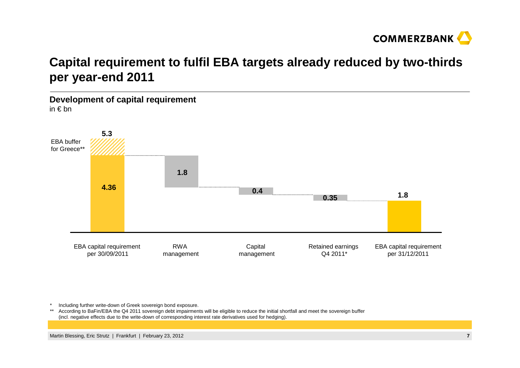

## **Capital requirement to fulfil EBA targets already reduced by two-thirds per year-end 2011**

**Development of capital requirement**in € bn



\*Including further write-down of Greek sovereign bond exposure.

\*\* According to BaFin/EBA the Q4 2011 sovereign debt impairments will be eligible to reduce the initial shortfall and meet the sovereign buffer (incl. negative effects due to the write-down of corresponding interest rate derivatives used for hedging).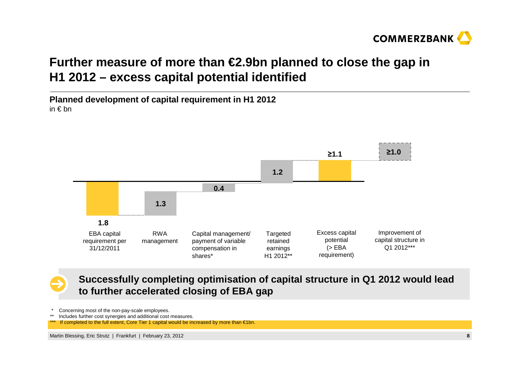

## **Further measure of more than €2.9bn planned to close the gap in H1 2012 – excess capital potential identified**

**Planned development of capital requirement in H1 2012**in € bn



**Successfully completing optimisation of capital structure in Q1 2012 would lead to further accelerated closing of EBA gap**

Concerning most of the non-pay-scale employees.

\*\*Includes further cost synergies and additional cost measures.

If completed to the full extent, Core Tier 1 capital would be increased by more than  $€1$ bn.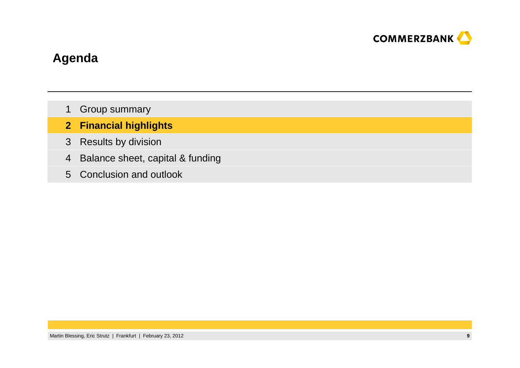

### **Agenda**

- Group summary1
- **Financial highlights2**
- 3 Results by division
- 4 Balance sheet, capital & funding
- Conclusion and outlook5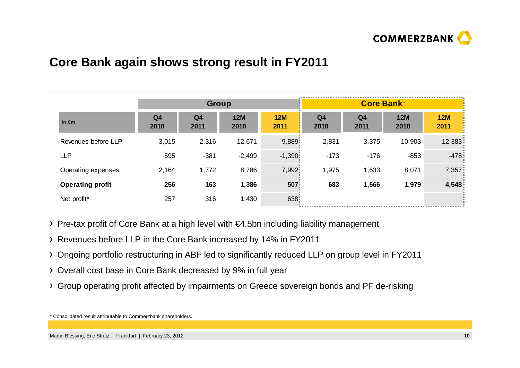

#### **Core Bank again shows strong result in FY2011**

|                         | <b>Group</b>           |                        |                    |                    |                        | <b>Core Bank*</b>      |                    |                    |
|-------------------------|------------------------|------------------------|--------------------|--------------------|------------------------|------------------------|--------------------|--------------------|
| in $\epsilon$ m         | Q <sub>4</sub><br>2010 | Q <sub>4</sub><br>2011 | <b>12M</b><br>2010 | <b>12M</b><br>2011 | Q <sub>4</sub><br>2010 | Q <sub>4</sub><br>2011 | <b>12M</b><br>2010 | <b>12M</b><br>2011 |
| Revenues before LLP     | 3,015                  | 2,316                  | 12,671             | 9,889              | 2,831                  | 3,375                  | 10,903             | 12,383             |
| <b>LLP</b>              | $-595$                 | $-381$                 | $-2,499$           | $-1,390$           | $-173$                 | $-176$                 | $-853$             | $-4781$            |
| Operating expenses      | 2,164                  | 1,772                  | 8,786              | 7,992              | 1,975                  | 1,633                  | 8,071              | 7,357              |
| <b>Operating profit</b> | 256                    | 163                    | 1,386              | 507                | 683                    | 1,566                  | 1,979              | 4,548              |
| Net profit*             | 257                    | 316                    | 1,430              | 638                |                        |                        |                    |                    |

- Pre-tax profit of Core Bank at a high level with €4.5bn including liability management
- Revenues before LLP in the Core Bank increased by 14% in FY2011
- Ongoing portfolio restructuring in ABF led to significantly reduced LLP on group level in FY2011
- Overall cost base in Core Bank decreased by 9% in full year
- Group operating profit affected by impairments on Greece sovereign bonds and PF de-risking

\* Consolidated result attributable to Commerzbank shareholders.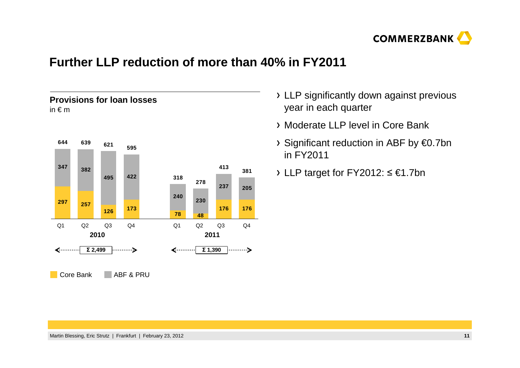

#### **Further LLP reduction of more than 40% in FY2011**

#### **Provisions for loan losses**in € <sup>m</sup>



- LLP significantly down against previous year in each quarter
- Moderate LLP level in Core Bank
- Significant reduction in ABF by €0.7bn in FY2011
- LLP target for FY2012: ≤ €1.7bn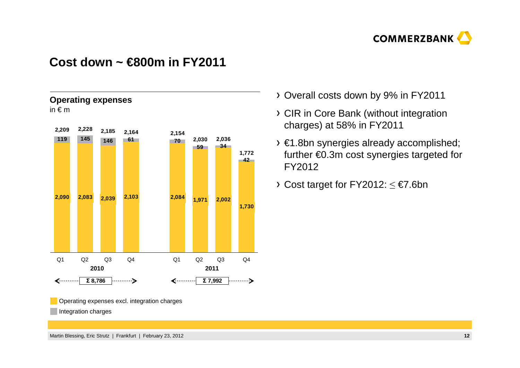![](_page_12_Picture_0.jpeg)

#### **Cost down ~ €800m in FY2011**

![](_page_12_Figure_2.jpeg)

- Overall costs down by 9% in FY2011
- CIR in Core Bank (without integration charges) at 58% in FY2011
- €1.8bn synergies already accomplished; further €0.3m cost synergies targeted for FY2012
- Cost target for  $\mathsf{FY2012:} \leq \mathsf{E7}.6$ bn

Operating expenses excl. integration charges

Integration charges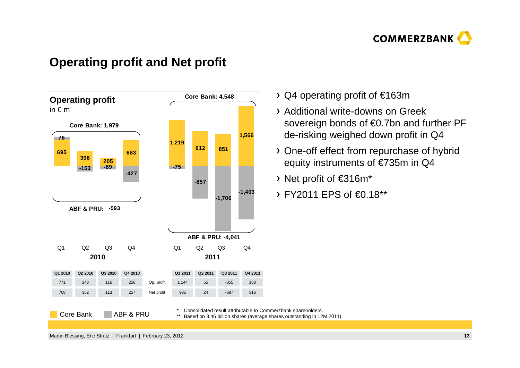![](_page_13_Picture_0.jpeg)

#### **Operating profit and Net profit**

![](_page_13_Figure_2.jpeg)

- Q4 operating profit of €163m
- Additional write-downs on Greek sovereign bonds of €0.7bn and further PF de-risking weighed down profit in Q4
- One-off effect from repurchase of hybrid equity instruments of €735m in Q4
- Net profit of €316m\*
- FY2011 EPS of €0.18\*\*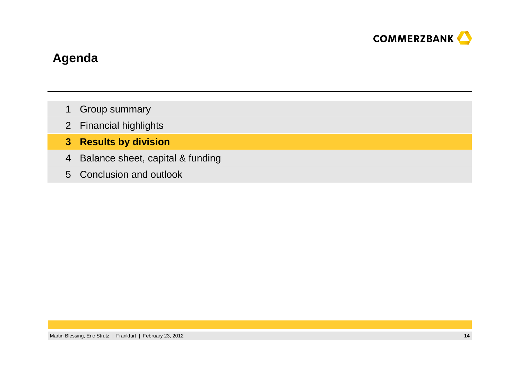![](_page_14_Picture_0.jpeg)

### **Agenda**

- Group summary1
- 2 Financial highlights
- **Results by division3**
- 4 Balance sheet, capital & funding
- Conclusion and outlook5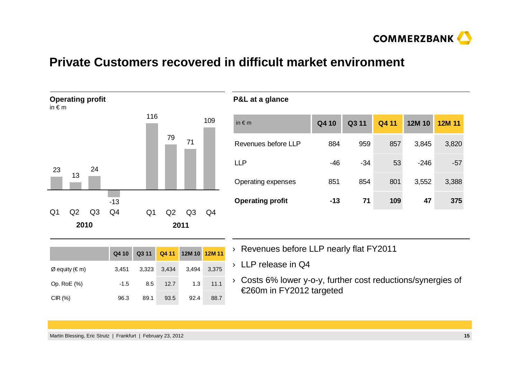![](_page_15_Picture_0.jpeg)

#### **Private Customers recovered in difficult market environment**

![](_page_15_Figure_2.jpeg)

|                  | Q4 10  |       |       | Q3 11  Q4 11  12M 10  12M 11 |       |
|------------------|--------|-------|-------|------------------------------|-------|
| $Ø$ equity (€ m) | 3.451  | 3,323 | 3,434 | 3,494                        | 3.375 |
| Op. RoE (%)      | $-1.5$ | 8.5   | 12.7  | 1.3                          | 11.1  |
| CIR(%)           | 96.3   | 89.1  | 93.5  | 92.4                         | 88.7  |

- › Revenues before LLP nearly flat FY2011
- › LLP release in Q4
- › Costs 6% lower y-o-y, further cost reductions/synergies of €260m in FY2012 targeted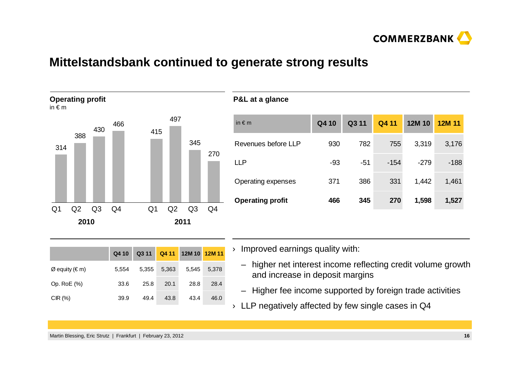![](_page_16_Picture_0.jpeg)

#### **Mittelstandsbank continued to generate strong results**

![](_page_16_Figure_2.jpeg)

| 930   | 782   | 755    | 3,319  | 3,176 |
|-------|-------|--------|--------|-------|
|       |       |        |        |       |
| $-93$ | $-51$ | $-154$ | $-279$ | -188  |
| 371   | 386   | 331    | 1,442  | 1,461 |
| 466   | 345   | 270    | 1,598  | 1,527 |
|       |       |        |        |       |

|                                 | Q4 10 | Q3 11 |       | Q4 11 12M 10 12M 11 |       |
|---------------------------------|-------|-------|-------|---------------------|-------|
| $\varnothing$ equity ( $\in$ m) | 5.554 | 5,355 | 5,363 | 5,545               | 5.378 |
| Op. RoE (%)                     | 33.6  | 25.8  | 20.1  | 28.8                | 28.4  |
| CIR(%)                          | 39.9  | 49.4  | 43.8  | 43.4                | 46.0  |

 $\rightarrow$  Improved earnings quality with:

- higher net interest income reflecting credit volume growth and increase in deposit margins
- Higher fee income supported by foreign trade activities
- $\rightarrow$  LLP negatively affected by few single cases in Q4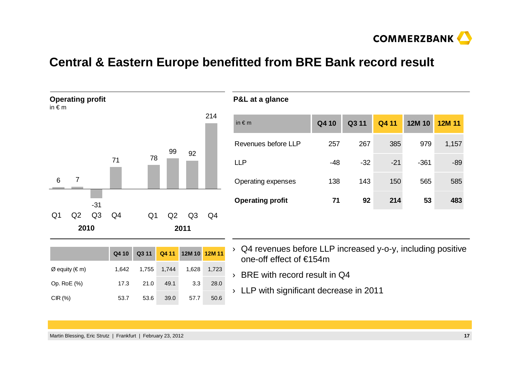![](_page_17_Picture_0.jpeg)

#### **Central & Eastern Europe benefitted from BRE Bank record result**

**P&L at a glance**

![](_page_17_Figure_2.jpeg)

| in $\notin$ m           | Q410  | Q311  | Q4 11 | 12M 10 | <b>12M 11</b> |
|-------------------------|-------|-------|-------|--------|---------------|
| Revenues before LLP     | 257   | 267   | 385   | 979    | 1,157         |
| LLP                     | $-48$ | $-32$ | $-21$ | $-361$ | $-89$         |
| Operating expenses      | 138   | 143   | 150   | 565    | 585           |
| <b>Operating profit</b> | 71    | 92    | 214   | 53     | 483           |
|                         |       |       |       |        |               |

|                          | Q4 10 |      |             | Q3 11 Q4 11 12M 10 12M 11 |       |
|--------------------------|-------|------|-------------|---------------------------|-------|
| $\emptyset$ equity (€ m) | 1.642 |      | 1,755 1,744 | 1.628                     | 1,723 |
| Op. RoE (%)              | 17.3  | 21.0 | 49.1        | 3.3                       | 28.0  |
| CIR(%)                   | 53.7  | 53.6 | 39.0        | 57.7                      | 50.6  |

› Q4 revenues before LLP increased y-o-y, including positive one-off effect of €154m

› BRE with record result in Q4

› LLP with significant decrease in 2011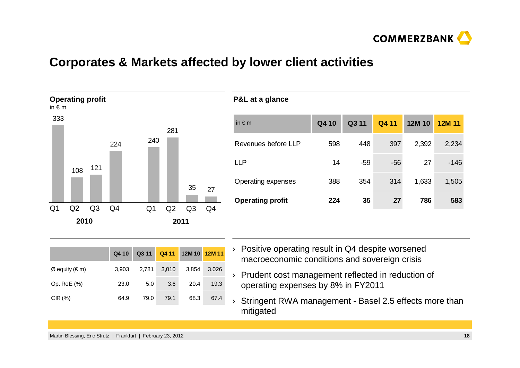![](_page_18_Picture_0.jpeg)

#### **Corporates & Markets affected by lower client activities**

**P&L at a glance**

![](_page_18_Figure_2.jpeg)

# in € m **Q4 10 Q3 11 Q4 11 12M 10 12M 11**Revenues before LLP 598 448 397 2,392 2,234LLP 14 -59 -56 27 -146Operating expenses 388 354 314 1,633 1,505**Operating profit 224 35 27 786 583**

|                  | Q4 10 | Q311  |       | Q4 11 12M 10 12M 11 |       |
|------------------|-------|-------|-------|---------------------|-------|
| $Ø$ equity (€ m) | 3.903 | 2,781 | 3,010 | 3,854               | 3.026 |
| Op. RoE (%)      | 23.0  | 5.0   | 3.6   | 20.4                | 19.3  |
| CIR(%)           | 64.9  | 79.0  | 79.1  | 68.3                | 67.4  |

- › Positive operating result in Q4 despite worsened macroeconomic conditions and sovereign crisis
- › Prudent cost management reflected in reduction of operating expenses by 8% in FY2011
- › Stringent RWA management - Basel 2.5 effects more than mitigated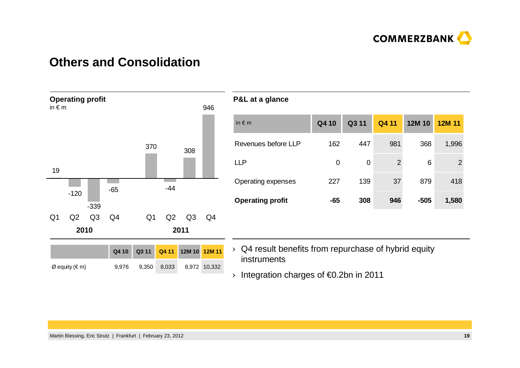![](_page_19_Picture_0.jpeg)

#### **Others and Consolidation**

![](_page_19_Figure_2.jpeg)

| in $\notin$ m           | Q4 10 | Q311     | Q4 11 | 12M 10 | 12M 11         |
|-------------------------|-------|----------|-------|--------|----------------|
| Revenues before LLP     | 162   | 447      | 981   | 368    | 1,996          |
| LLP                     | 0     | $\Omega$ | 2     | 6      | $\overline{2}$ |
| Operating expenses      | 227   | 139      | 37    | 879    | 418            |
| <b>Operating profit</b> | $-65$ | 308      | 946   | $-505$ | 1,580          |

 $\rightarrow$  Q4 result benefits from repurchase of hybrid equity instruments

› Integration charges of €0.2bn in 2011

**P&L at a glance**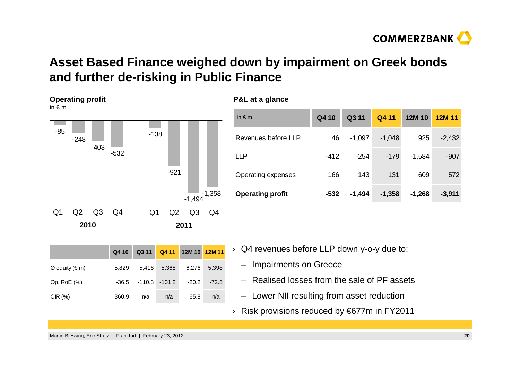![](_page_20_Picture_0.jpeg)

## **Asset Based Finance weighed down by impairment on Greek bonds and further de-risking in Public Finance**

![](_page_20_Figure_2.jpeg)

|                  | Q4 10 |               |             | Q3 11 Q4 11 12M 10 12M 11 |         |
|------------------|-------|---------------|-------------|---------------------------|---------|
| $Ø$ equity (€ m) | 5.829 |               | 5,416 5,368 | 6,276                     | 5.398   |
| Op. RoE (%)      | -36.5 | -110.3 -101.2 |             | $-20.2$                   | $-72.5$ |
| CIR(%)           | 360.9 | n/a           | n/a         | 65.8                      | n/a     |

- › Q4 revenues before LLP down y-o-y due to:
	- Impairments on Greece
	- Realised losses from the sale of PF assets
- Lower NII resulting from asset reduction
- › Risk provisions reduced by €677m in FY2011

Martin Blessing, Eric Strutz | Frankfurt | February 23, 2012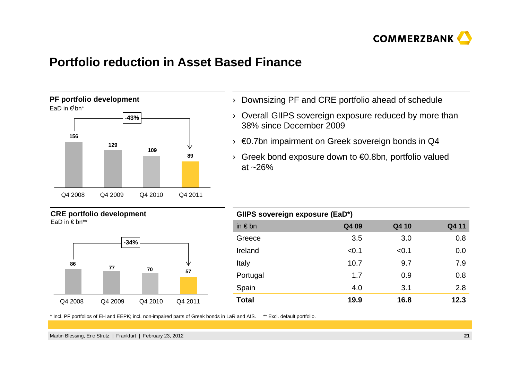![](_page_21_Picture_0.jpeg)

#### **Portfolio reduction in Asset Based Finance**

![](_page_21_Figure_2.jpeg)

#### **CRE portfolio development**

![](_page_21_Figure_4.jpeg)

![](_page_21_Figure_5.jpeg)

- $\rightarrow$  Downsizing PF and CRE portfolio ahead of schedule
- › Overall GIIPS sovereign exposure reduced by more than 38% since December 2009
- $\rightarrow \, \, \in$ 0.7bn impairment on Greek sovereign bonds in Q4
- › Greek bond exposure down to €0.8bn, portfolio valued at ~26%

| GIIPS sovereign exposure (EaD*) |       |       |       |  |  |  |  |  |  |
|---------------------------------|-------|-------|-------|--|--|--|--|--|--|
| in $\notin$ bn                  | Q4 09 | Q4 10 | Q4 11 |  |  |  |  |  |  |
| Greece                          | 3.5   | 3.0   | 0.8   |  |  |  |  |  |  |
| Ireland                         | < 0.1 | < 0.1 | 0.0   |  |  |  |  |  |  |
| Italy                           | 10.7  | 9.7   | 7.9   |  |  |  |  |  |  |
| Portugal                        | 1.7   | 0.9   | 0.8   |  |  |  |  |  |  |
| Spain                           | 4.0   | 3.1   | 2.8   |  |  |  |  |  |  |
| Total                           | 19.9  | 16.8  | 12.3  |  |  |  |  |  |  |

\* Incl. PF portfolios of EH and EEPK; incl. non-impaired parts of Greek bonds in LaR and AfS. \*\* Excl. default portfolio.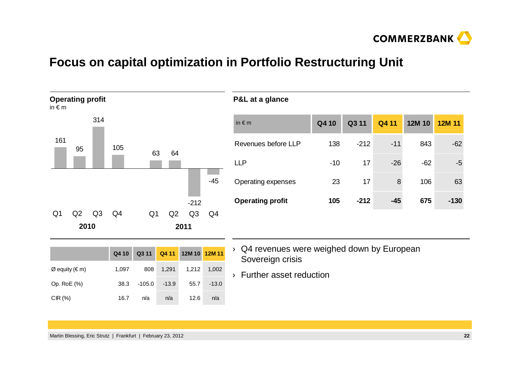![](_page_22_Picture_0.jpeg)

#### **Focus on capital optimization in Portfolio Restructuring Unit**

**P&L at a glance**

![](_page_22_Figure_2.jpeg)

|       | Q3 11  | Q4 11 | 12M 10 | 12M 11 |
|-------|--------|-------|--------|--------|
| 138   | $-212$ | $-11$ | 843    | $-62$  |
| $-10$ | 17     | $-26$ | $-62$  | $-5$   |
| 23    | 17     | 8     | 106    | 63     |
| 105   | $-212$ | $-45$ | 675    | $-130$ |
|       |        |       |        |        |

|                                 | Q4 10 |        |         | Q3 11 Q4 11 12M 10 12M 11 |         |
|---------------------------------|-------|--------|---------|---------------------------|---------|
| $\varnothing$ equity ( $\in$ m) | 1.097 | 808    | 1,291   | 1,212                     | 1,002   |
| Op. RoE (%)                     | 38.3  | -105.0 | $-13.9$ | 55.7                      | $-13.0$ |
| CIR $(%)$                       | 16.7  | n/a    | n/a     | 12.6                      | n/a     |

- › Q4 revenues were weighed down by European Sovereign crisis
- › Further asset reduction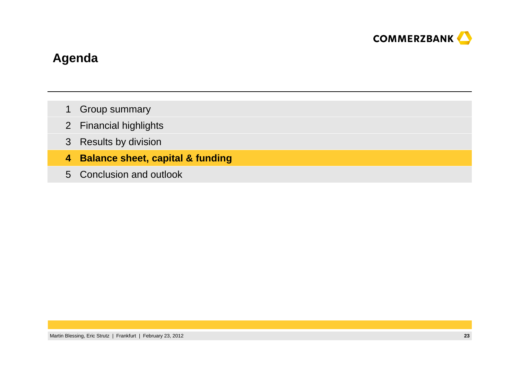![](_page_23_Picture_0.jpeg)

### **Agenda**

- Group summary1
- Financial highlights2
- 3 Results by division
- **4Balance sheet, capital & funding**
- 5 Conclusion and outlook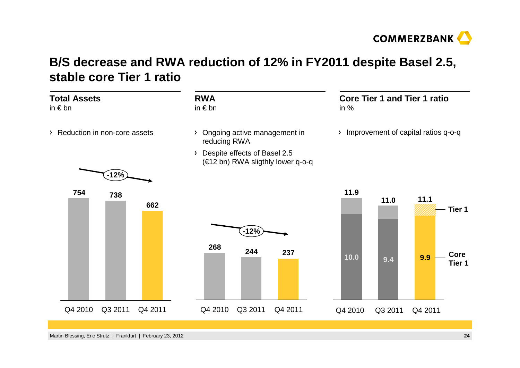![](_page_24_Picture_0.jpeg)

### **B/S decrease and RWA reduction of 12% in FY2011 despite Basel 2.5, stable core Tier 1 ratio**

| <b>Total Assets</b><br>in $\epsilon$ bn |         | <b>RWA</b><br>in $\epsilon$ bn                                                        | <b>Core Tier 1 and Tier 1 ratio</b><br>in $%$                          |
|-----------------------------------------|---------|---------------------------------------------------------------------------------------|------------------------------------------------------------------------|
| > Reduction in non-core assets          |         | Ongoing active management in<br>reducing RWA                                          | Improvement of capital ratios q-o-q<br>$\lambda$                       |
| $-12%$                                  |         | Despite effects of Basel 2.5<br>$\sum_{i=1}^{n}$<br>(€12 bn) RWA sligthly lower q-o-q |                                                                        |
| 754<br>738                              | 662     | $-12%$<br>268<br>244<br>237                                                           | 11.9<br>11.1<br>11.0<br>Tier 1<br>Core<br>10.0<br>9.9<br>9.4<br>Tier 1 |
| Q4 2010<br>Q3 2011                      | Q4 2011 | Q3 2011<br>Q4 2010<br>Q4 2011                                                         | Q3 2011<br>Q4 2010<br>Q4 2011                                          |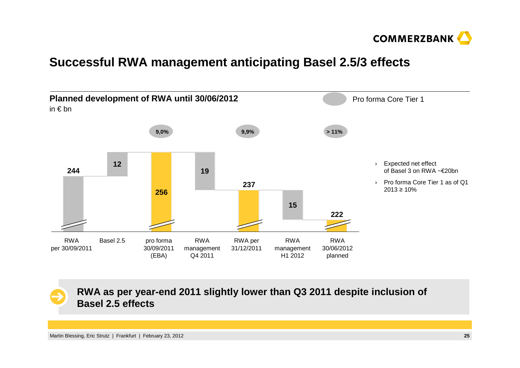![](_page_25_Picture_0.jpeg)

#### **Successful RWA management anticipating Basel 2.5/3 effects**

![](_page_25_Figure_2.jpeg)

**RWA as per year-end 2011 slightly lower than Q3 2011 despite inclusion of Basel 2.5 effects**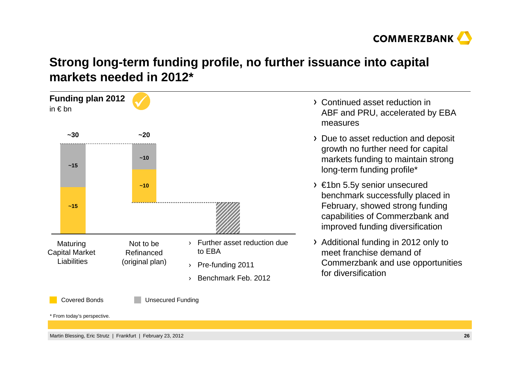![](_page_26_Picture_0.jpeg)

## **Strong long-term funding profile, no further issuance into capital markets needed in 2012\***

![](_page_26_Figure_2.jpeg)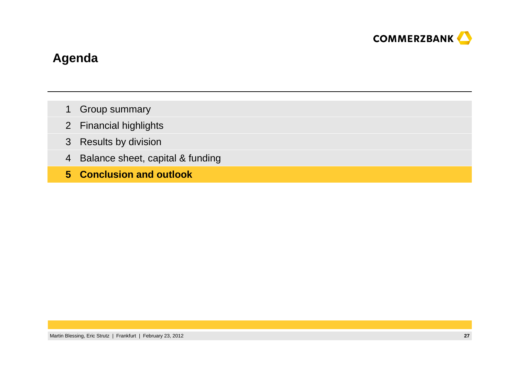![](_page_27_Picture_0.jpeg)

### **Agenda**

- Group summary1
- Financial highlights2
- 3 Results by division
- 4 Balance sheet, capital & funding
- **Conclusion and outlook5**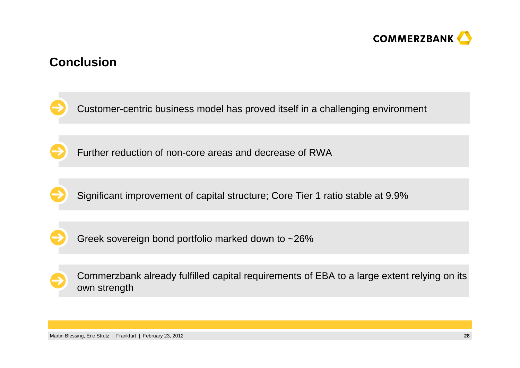![](_page_28_Picture_0.jpeg)

#### **Conclusion**

![](_page_28_Picture_2.jpeg)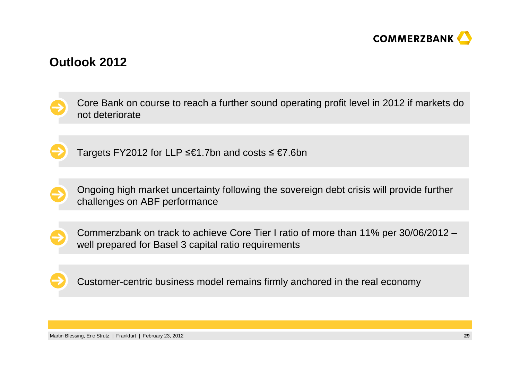![](_page_29_Picture_0.jpeg)

#### **Outlook 2012**

![](_page_29_Picture_2.jpeg)

![](_page_29_Picture_3.jpeg)

Targets FY2012 for LLP ≤€1.7bn and costs ≤ €7.6bn

![](_page_29_Picture_5.jpeg)

Ongoing high market uncertainty following the sovereign debt crisis will provide further challenges on ABF performance

![](_page_29_Picture_7.jpeg)

Commerzbank on track to achieve Core Tier I ratio of more than 11% per 30/06/2012 –well prepared for Basel 3 capital ratio requirements

![](_page_29_Picture_9.jpeg)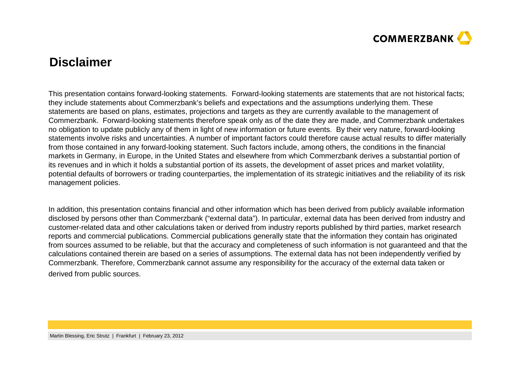![](_page_30_Picture_0.jpeg)

#### **Disclaimer**

This presentation contains forward-looking statements. Forward-looking statements are statements that are not historical facts;they include statements about Commerzbank's beliefs and expectations and the assumptions underlying them. These statements are based on plans, estimates, projections and targets as they are currently available to the management of Commerzbank. Forward-looking statements therefore speak only as of the date they are made, and Commerzbank undertakes no obligation to update publicly any of them in light of new information or future events. By their very nature, forward-looking statements involve risks and uncertainties. A number of important factors could therefore cause actual results to differ materially from those contained in any forward-looking statement. Such factors include, among others, the conditions in the financial markets in Germany, in Europe, in the United States and elsewhere from which Commerzbank derives a substantial portion of its revenues and in which it holds a substantial portion of its assets, the development of asset prices and market volatility, potential defaults of borrowers or trading counterparties, the implementation of its strategic initiatives and the reliability of its risk management policies.

In addition, this presentation contains financial and other information which has been derived from publicly available information disclosed by persons other than Commerzbank ("external data"). In particular, external data has been derived from industry and customer-related data and other calculations taken or derived from industry reports published by third parties, market research reports and commercial publications. Commercial publications generally state that the information they contain has originated from sources assumed to be reliable, but that the accuracy and completeness of such information is not guaranteed and that the calculations contained therein are based on a series of assumptions. The external data has not been independently verified by Commerzbank. Therefore, Commerzbank cannot assume any responsibility for the accuracy of the external data taken or derived from public sources.